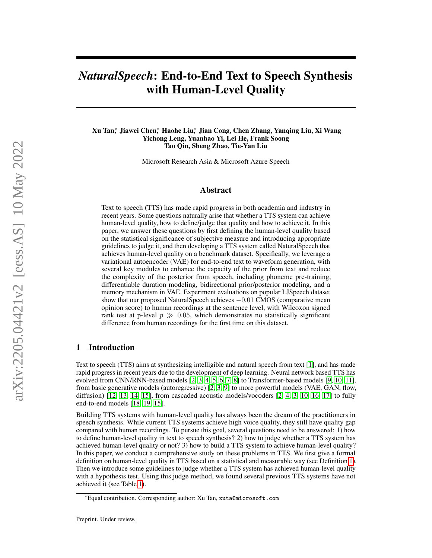# *NaturalSpeech*: End-to-End Text to Speech Synthesis with Human-Level Quality

Xu Tan<sup>∗</sup> , Jiawei Chen<sup>∗</sup> , Haohe Liu<sup>∗</sup> , Jian Cong, Chen Zhang, Yanqing Liu, Xi Wang Yichong Leng, Yuanhao Yi, Lei He, Frank Soong Tao Qin, Sheng Zhao, Tie-Yan Liu

Microsoft Research Asia & Microsoft Azure Speech

## Abstract

Text to speech (TTS) has made rapid progress in both academia and industry in recent years. Some questions naturally arise that whether a TTS system can achieve human-level quality, how to define/judge that quality and how to achieve it. In this paper, we answer these questions by first defining the human-level quality based on the statistical significance of subjective measure and introducing appropriate guidelines to judge it, and then developing a TTS system called NaturalSpeech that achieves human-level quality on a benchmark dataset. Specifically, we leverage a variational autoencoder (VAE) for end-to-end text to waveform generation, with several key modules to enhance the capacity of the prior from text and reduce the complexity of the posterior from speech, including phoneme pre-training, differentiable duration modeling, bidirectional prior/posterior modeling, and a memory mechanism in VAE. Experiment evaluations on popular LJSpeech dataset show that our proposed NaturalSpeech achieves  $-0.01$  CMOS (comparative mean opinion score) to human recordings at the sentence level, with Wilcoxon signed rank test at p-level  $p \gg 0.05$ , which demonstrates no statistically significant difference from human recordings for the first time on this dataset.

## 1 Introduction

Text to speech (TTS) aims at synthesizing intelligible and natural speech from text [\[1\]](#page-9-0), and has made rapid progress in recent years due to the development of deep learning. Neural network based TTS has evolved from CNN/RNN-based models [\[2,](#page-10-0) [3,](#page-10-1) [4,](#page-10-2) [5,](#page-10-3) [6,](#page-10-4) [7,](#page-10-5) [8\]](#page-10-6) to Transformer-based models [\[9,](#page-10-7) [10,](#page-10-8) [11\]](#page-10-9), from basic generative models (autoregressive) [\[2,](#page-10-0) [3,](#page-10-1) [9\]](#page-10-7) to more powerful models (VAE, GAN, flow, diffusion)  $[12, 13, 14, 15]$  $[12, 13, 14, 15]$  $[12, 13, 14, 15]$  $[12, 13, 14, 15]$  $[12, 13, 14, 15]$  $[12, 13, 14, 15]$  $[12, 13, 14, 15]$ , from cascaded acoustic models/vocoders  $[2, 4, 3, 10, 16, 17]$  $[2, 4, 3, 10, 16, 17]$  $[2, 4, 3, 10, 16, 17]$  $[2, 4, 3, 10, 16, 17]$  $[2, 4, 3, 10, 16, 17]$  $[2, 4, 3, 10, 16, 17]$  $[2, 4, 3, 10, 16, 17]$  $[2, 4, 3, 10, 16, 17]$  $[2, 4, 3, 10, 16, 17]$  $[2, 4, 3, 10, 16, 17]$  $[2, 4, 3, 10, 16, 17]$  to fully end-to-end models [\[18,](#page-11-1) [19,](#page-11-2) [15\]](#page-10-13).

Building TTS systems with human-level quality has always been the dream of the practitioners in speech synthesis. While current TTS systems achieve high voice quality, they still have quality gap compared with human recordings. To pursue this goal, several questions need to be answered: 1) how to define human-level quality in text to speech synthesis? 2) how to judge whether a TTS system has achieved human-level quality or not? 3) how to build a TTS system to achieve human-level quality? In this paper, we conduct a comprehensive study on these problems in TTS. We first give a formal definition on human-level quality in TTS based on a statistical and measurable way (see Definition [1\)](#page-1-0). Then we introduce some guidelines to judge whether a TTS system has achieved human-level quality with a hypothesis test. Using this judge method, we found several previous TTS systems have not achieved it (see Table [1\)](#page-2-0).

<sup>∗</sup>Equal contribution. Corresponding author: Xu Tan, xuta@microsoft.com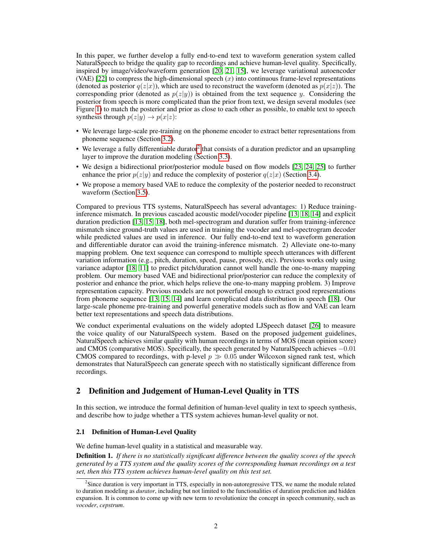In this paper, we further develop a fully end-to-end text to waveform generation system called NaturalSpeech to bridge the quality gap to recordings and achieve human-level quality. Specifically, inspired by image/video/waveform generation [\[20,](#page-11-3) [21,](#page-11-4) [15\]](#page-10-13), we leverage variational autoencoder (VAE) [\[22\]](#page-11-5) to compress the high-dimensional speech  $(x)$  into continuous frame-level representations (denoted as posterior  $q(z|x)$ ), which are used to reconstruct the waveform (denoted as  $p(x|z)$ ). The corresponding prior (denoted as  $p(z|y)$ ) is obtained from the text sequence y. Considering the posterior from speech is more complicated than the prior from text, we design several modules (see Figure [1\)](#page-3-0) to match the posterior and prior as close to each other as possible, to enable text to speech synthesis through  $p(z|y) \rightarrow p(x|z)$ :

- We leverage large-scale pre-training on the phoneme encoder to extract better representations from phoneme sequence (Section [3.2\)](#page-3-1).
- We leverage a fully differentiable durator<sup>[2](#page-1-1)</sup> that consists of a duration predictor and an upsampling layer to improve the duration modeling (Section [3.3\)](#page-3-2).
- We design a bidirectional prior/posterior module based on flow models [\[23,](#page-11-6) [24,](#page-11-7) [25\]](#page-11-8) to further enhance the prior  $p(z|y)$  and reduce the complexity of posterior  $q(z|x)$  (Section [3.4\)](#page-4-0).
- We propose a memory based VAE to reduce the complexity of the posterior needed to reconstruct waveform (Section [3.5\)](#page-5-0).

Compared to previous TTS systems, NaturalSpeech has several advantages: 1) Reduce traininginference mismatch. In previous cascaded acoustic model/vocoder pipeline [\[13,](#page-10-11) [18,](#page-11-1) [14\]](#page-10-12) and explicit duration prediction [\[13,](#page-10-11) [15,](#page-10-13) [18\]](#page-11-1), both mel-spectrogram and duration suffer from training-inference mismatch since ground-truth values are used in training the vocoder and mel-spectrogram decoder while predicted values are used in inference. Our fully end-to-end text to waveform generation and differentiable durator can avoid the training-inference mismatch. 2) Alleviate one-to-many mapping problem. One text sequence can correspond to multiple speech utterances with different variation information (e.g., pitch, duration, speed, pause, prosody, etc). Previous works only using variance adaptor [\[18,](#page-11-1) [11\]](#page-10-9) to predict pitch/duration cannot well handle the one-to-many mapping problem. Our memory based VAE and bidirectional prior/posterior can reduce the complexity of posterior and enhance the prior, which helps relieve the one-to-many mapping problem. 3) Improve representation capacity. Previous models are not powerful enough to extract good representations from phoneme sequence [\[13,](#page-10-11) [15,](#page-10-13) [14\]](#page-10-12) and learn complicated data distribution in speech [\[18\]](#page-11-1). Our large-scale phoneme pre-training and powerful generative models such as flow and VAE can learn better text representations and speech data distributions.

We conduct experimental evaluations on the widely adopted LJSpeech dataset [\[26\]](#page-11-9) to measure the voice quality of our NaturalSpeech system. Based on the proposed judgement guidelines, NaturalSpeech achieves similar quality with human recordings in terms of MOS (mean opinion score) and CMOS (comparative MOS). Specifically, the speech generated by NaturalSpeech achieves −0.01 CMOS compared to recordings, with p-level  $p \gg 0.05$  under Wilcoxon signed rank test, which demonstrates that NaturalSpeech can generate speech with no statistically significant difference from recordings.

# <span id="page-1-2"></span>2 Definition and Judgement of Human-Level Quality in TTS

In this section, we introduce the formal definition of human-level quality in text to speech synthesis, and describe how to judge whether a TTS system achieves human-level quality or not.

## 2.1 Definition of Human-Level Quality

We define human-level quality in a statistical and measurable way.

<span id="page-1-0"></span>Definition 1. *If there is no statistically significant difference between the quality scores of the speech generated by a TTS system and the quality scores of the corresponding human recordings on a test set, then this TTS system achieves human-level quality on this test set.*

<span id="page-1-1"></span><sup>&</sup>lt;sup>2</sup>Since duration is very important in TTS, especially in non-autoregressive TTS, we name the module related to duration modeling as *durator*, including but not limited to the functionalities of duration prediction and hidden expansion. It is common to come up with new term to revolutionize the concept in speech community, such as *vocoder*, *cepstrum*.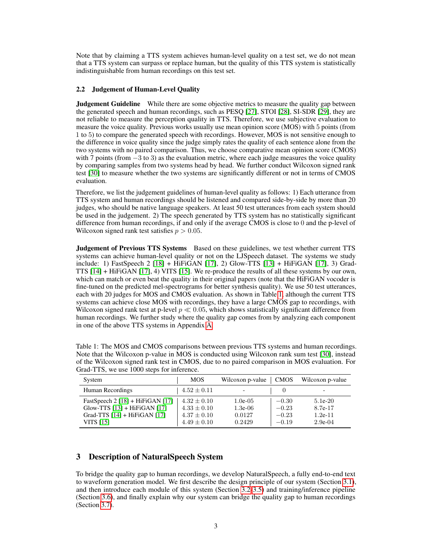Note that by claiming a TTS system achieves human-level quality on a test set, we do not mean that a TTS system can surpass or replace human, but the quality of this TTS system is statistically indistinguishable from human recordings on this test set.

## 2.2 Judgement of Human-Level Quality

**Judgement Guideline** While there are some objective metrics to measure the quality gap between the generated speech and human recordings, such as PESQ [\[27\]](#page-11-10), STOI [\[28\]](#page-11-11), SI-SDR [\[29\]](#page-11-12), they are not reliable to measure the perception quality in TTS. Therefore, we use subjective evaluation to measure the voice quality. Previous works usually use mean opinion score (MOS) with 5 points (from 1 to 5) to compare the generated speech with recordings. However, MOS is not sensitive enough to the difference in voice quality since the judge simply rates the quality of each sentence alone from the two systems with no paired comparison. Thus, we choose comparative mean opinion score (CMOS) with 7 points (from  $-3$  to 3) as the evaluation metric, where each judge measures the voice quality by comparing samples from two systems head by head. We further conduct Wilcoxon signed rank test [\[30\]](#page-11-13) to measure whether the two systems are significantly different or not in terms of CMOS evaluation.

Therefore, we list the judgement guidelines of human-level quality as follows: 1) Each utterance from TTS system and human recordings should be listened and compared side-by-side by more than 20 judges, who should be native language speakers. At least 50 test utterances from each system should be used in the judgement. 2) The speech generated by TTS system has no statistically significant difference from human recordings, if and only if the average CMOS is close to 0 and the p-level of Wilcoxon signed rank test satisfies  $p > 0.05$ .

Judgement of Previous TTS Systems Based on these guidelines, we test whether current TTS systems can achieve human-level quality or not on the LJSpeech dataset. The systems we study include: 1) FastSpeech 2 [\[18\]](#page-11-1) + HiFiGAN [\[17\]](#page-11-0), 2) Glow-TTS [\[13\]](#page-10-11) + HiFiGAN [\[17\]](#page-11-0), 3) Grad-TTS [\[14\]](#page-10-12) + HiFiGAN [\[17\]](#page-11-0), 4) VITS [\[15\]](#page-10-13). We re-produce the results of all these systems by our own, which can match or even beat the quality in their original papers (note that the HiFiGAN vocoder is fine-tuned on the predicted mel-spectrograms for better synthesis quality). We use 50 test utterances, each with 20 judges for MOS and CMOS evaluation. As shown in Table [1,](#page-2-0) although the current TTS systems can achieve close MOS with recordings, they have a large CMOS gap to recordings, with Wilcoxon signed rank test at p-level  $p \ll 0.05$ , which shows statistically significant difference from human recordings. We further study where the quality gap comes from by analyzing each component in one of the above TTS systems in Appendix [A.](#page-13-0)

| System                             | <b>MOS</b>      | Wilcoxon p-value $\parallel$ | <b>CMOS</b> | Wilcoxon p-value         |
|------------------------------------|-----------------|------------------------------|-------------|--------------------------|
| Human Recordings                   | $4.52 \pm 0.11$ |                              |             | $\overline{\phantom{0}}$ |
| FastSpeech $2$ [18] + HiFiGAN [17] | $4.32 \pm 0.10$ | $1.0e-0.5$                   | $-0.30$     | $5.1e-20$                |
| Glow-TTS $[13]$ + HiFiGAN $[17]$   | $4.33 \pm 0.10$ | $1.3e-06$                    | $-0.23$     | 8.7e-17                  |
| Grad-TTS $[14]$ + HiFiGAN $[17]$   | $4.37 \pm 0.10$ | 0.0127                       | $-0.23$     | $1.2e-11$                |
| VITS [15]                          | $4.49 \pm 0.10$ | 0.2429                       | $-0.19$     | $2.9e-04$                |

<span id="page-2-0"></span>Table 1: The MOS and CMOS comparisons between previous TTS systems and human recordings. Note that the Wilcoxon p-value in MOS is conducted using Wilcoxon rank sum test [\[30\]](#page-11-13), instead of the Wilcoxon signed rank test in CMOS, due to no paired comparison in MOS evaluation. For Grad-TTS, we use 1000 steps for inference.

# 3 Description of NaturalSpeech System

To bridge the quality gap to human recordings, we develop NaturalSpeech, a fully end-to-end text to waveform generation model. We first describe the design principle of our system (Section [3.1\)](#page-3-3), and then introduce each module of this system (Section [3.2](#page-3-1)[-3.5\)](#page-5-0) and training/inference pipeline (Section [3.6\)](#page-5-1), and finally explain why our system can bridge the quality gap to human recordings (Section [3.7\)](#page-6-0).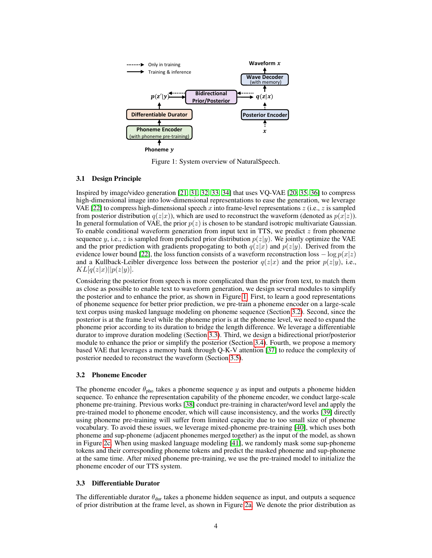<span id="page-3-0"></span>

Figure 1: System overview of NaturalSpeech.

## <span id="page-3-3"></span>3.1 Design Principle

Inspired by image/video generation [\[21,](#page-11-4) [31,](#page-11-14) [32,](#page-11-15) [33,](#page-11-16) [34\]](#page-11-17) that uses VQ-VAE [\[20,](#page-11-3) [35,](#page-12-0) [36\]](#page-12-1) to compress high-dimensional image into low-dimensional representations to ease the generation, we leverage VAE [\[22\]](#page-11-5) to compress high-dimensional speech x into frame-level representations  $z$  (i.e.,  $\overline{z}$  is sampled from posterior distribution  $q(z|x)$ , which are used to reconstruct the waveform (denoted as  $p(x|z)$ ). In general formulation of VAE, the prior  $p(z)$  is chosen to be standard isotropic multivariate Gaussian. To enable conditional waveform generation from input text in TTS, we predict  $z$  from phoneme sequence y, i.e., z is sampled from predicted prior distribution  $p(z|y)$ . We jointly optimize the VAE and the prior prediction with gradients propogating to both  $q(z|x)$  and  $p(z|y)$ . Derived from the evidence lower bound [\[22\]](#page-11-5), the loss function consists of a waveform reconstruction loss  $-\log p(x|z)$ and a Kullback-Leibler divergence loss between the posterior  $q(z|x)$  and the prior  $p(z|y)$ , i.e.,  $KL[q(z|x)||p(z|y)].$ 

Considering the posterior from speech is more complicated than the prior from text, to match them as close as possible to enable text to waveform generation, we design several modules to simplify the posterior and to enhance the prior, as shown in Figure [1.](#page-3-0) First, to learn a good representations of phoneme sequence for better prior prediction, we pre-train a phoneme encoder on a large-scale text corpus using masked language modeling on phoneme sequence (Section [3.2\)](#page-3-1). Second, since the posterior is at the frame level while the phoneme prior is at the phoneme level, we need to expand the phoneme prior according to its duration to bridge the length difference. We leverage a differentiable durator to improve duration modeling (Section [3.3\)](#page-3-2). Third, we design a bidirectional prior/posterior module to enhance the prior or simplify the posterior (Section [3.4\)](#page-4-0). Fourth, we propose a memory based VAE that leverages a memory bank through Q-K-V attention [\[37\]](#page-12-2) to reduce the complexity of posterior needed to reconstruct the waveform (Section [3.5\)](#page-5-0).

## <span id="page-3-1"></span>3.2 Phoneme Encoder

The phoneme encoder  $\theta_{\text{pho}}$  takes a phoneme sequence y as input and outputs a phoneme hidden sequence. To enhance the representation capability of the phoneme encoder, we conduct large-scale phoneme pre-training. Previous works [\[38\]](#page-12-3) conduct pre-training in character/word level and apply the pre-trained model to phoneme encoder, which will cause inconsistency, and the works [\[39\]](#page-12-4) directly using phoneme pre-training will suffer from limited capacity due to too small size of phoneme vocabulary. To avoid these issues, we leverage mixed-phoneme pre-training [\[40\]](#page-12-5), which uses both phoneme and sup-phoneme (adjacent phonemes merged together) as the input of the model, as shown in Figure [2c.](#page-4-1) When using masked language modeling [\[41\]](#page-12-6), we randomly mask some sup-phoneme tokens and their corresponding phoneme tokens and predict the masked phoneme and sup-phoneme at the same time. After mixed phoneme pre-training, we use the pre-trained model to initialize the phoneme encoder of our TTS system.

#### <span id="page-3-2"></span>3.3 Differentiable Durator

The differentiable durator  $\theta_{\text{dur}}$  takes a phoneme hidden sequence as input, and outputs a sequence of prior distribution at the frame level, as shown in Figure [2a.](#page-4-1) We denote the prior distribution as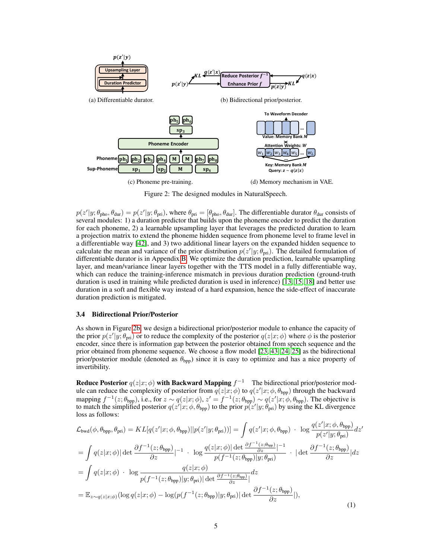<span id="page-4-1"></span>

Figure 2: The designed modules in NaturalSpeech.

 $p(z'|y; \theta_{\text{pho}}, \theta_{\text{dur}}) = p(z'|y; \theta_{\text{pri}})$ , where  $\theta_{\text{pri}} = [\theta_{\text{pho}}, \theta_{\text{dur}}]$ . The differentiable durator  $\theta_{\text{dur}}$  consists of several modules: 1) a duration predictor that builds upon the phoneme encoder to predict the duration for each phoneme, 2) a learnable upsampling layer that leverages the predicted duration to learn a projection matrix to extend the phoneme hidden sequence from phoneme level to frame level in a differentiable way [\[42\]](#page-12-7), and 3) two additional linear layers on the expanded hidden sequence to calculate the mean and variance of the prior distribution  $p(z'|y; \theta_{\text{pri}})$ . The detailed formulation of differentiable durator is in Appendix [B.](#page-14-0) We optimize the duration prediction, learnable upsampling layer, and mean/variance linear layers together with the TTS model in a fully differentiable way, which can reduce the training-inference mismatch in previous duration prediction (ground-truth duration is used in training while predicted duration is used in inference) [\[13,](#page-10-11) [15,](#page-10-13) [18\]](#page-11-1) and better use duration in a soft and flexible way instead of a hard expansion, hence the side-effect of inaccurate duration prediction is mitigated.

## <span id="page-4-0"></span>3.4 Bidirectional Prior/Posterior

As shown in Figure [2b,](#page-4-1) we design a bidirectional prior/posterior module to enhance the capacity of the prior  $p(z'|y; \theta_{\text{pri}})$  or to reduce the complexity of the posterior  $q(z|x; \phi)$  where  $\phi$  is the posterior encoder, since there is information gap between the posterior obtained from speech sequence and the prior obtained from phoneme sequence. We choose a flow model [\[23,](#page-11-6) [43,](#page-12-8) [24,](#page-11-7) [25\]](#page-11-8) as the bidirectional prior/posterior module (denoted as  $\theta_{\rm bpp}$ ) since it is easy to optimize and has a nice property of invertibility.

**Reduce Posterior**  $q(z|x; \phi)$  with Backward Mapping  $f^{-1}$  The bidirectional prior/posterior module can reduce the complexity of posterior from  $q(z|x;\phi)$  to  $q(z'|x;\phi,\theta_{\text{bpp}})$  through the backward mapping  $f^{-1}(z; \theta_{\text{bpp}})$ , i.e., for  $z \sim q(z|x; \phi)$ ,  $z' = f^{-1}(z; \theta_{\text{bpp}}) \sim q(z'|x; \phi, \theta_{\text{bpp}})$ . The objective is to match the simplified posterior  $q(z'|x;\phi,\theta_{\text{bpp}})$  to the prior  $p(z'|y;\theta_{\text{pri}})$  by using the KL divergence loss as follows:

<span id="page-4-2"></span>
$$
\mathcal{L}_{bwd}(\phi, \theta_{bpp}, \theta_{pri}) = KL[q(z'|x; \phi, \theta_{bpp}) || p(z'|y; \theta_{pri}))] = \int q(z'|x; \phi, \theta_{bpp}) \cdot \log \frac{q(z'|x; \phi, \theta_{bpp})}{p(z'|y; \theta_{pri})} dz'
$$
  
\n
$$
= \int q(z|x; \phi)| \det \frac{\partial f^{-1}(z; \theta_{bpp})}{\partial z}|^{-1} \cdot \log \frac{q(z|x; \phi)| \det \frac{\partial f^{-1}(z; \theta_{bpp})}{\partial z}|^{-1}}{p(f^{-1}(z; \theta_{bpp}) | y; \theta_{pri})} \cdot |\det \frac{\partial f^{-1}(z; \theta_{bpp})}{\partial z}| dz
$$
  
\n
$$
= \int q(z|x; \phi) \cdot \log \frac{q(z|x; \phi)}{p(f^{-1}(z; \theta_{bpp}) | y; \theta_{pri})|} \det \frac{\partial f^{-1}(z; \theta_{bpp})}{\partial z}|^{2}
$$
  
\n
$$
= \mathbb{E}_{z \sim q(z|x; \phi)} (\log q(z|x; \phi) - \log (p(f^{-1}(z; \theta_{bpp}) | y; \theta_{pri}) | \det \frac{\partial f^{-1}(z; \theta_{bpp})}{\partial z}|),
$$
\n(1)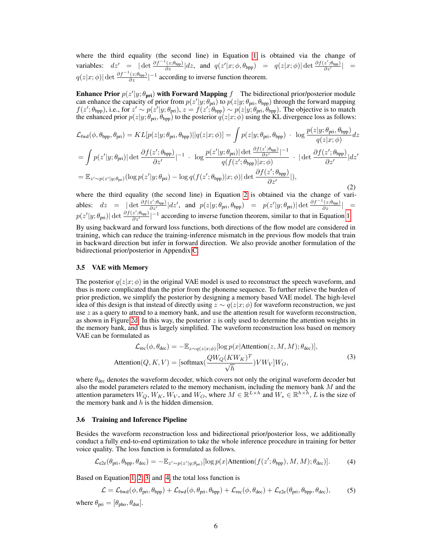where the third equality (the second line) in Equation [1](#page-4-2) is obtained via the change of variables:  $dz' = |\det \frac{\partial f^{-1}(z;\theta_{\text{bpp}})}{\partial z}| dz$ , and  $q(z'|x;\phi,\theta_{\text{bpp}}) = q(z|x;\phi)| \det \frac{\partial f(z';\theta_{\text{bpp}})}{\partial z'}| =$  $q(z|x; \phi) | \det \frac{\partial f^{-1}(z; \theta_{\text{bpp}})}{\partial z} |^{-1}$  according to inverse function theorem.

**Enhance Prior**  $p(z'|y; \theta_{\text{pri}})$  with Forward Mapping f The bidirectional prior/posterior module can enhance the capacity of prior from  $p(z'|y; \theta_{\rm pri})$  to  $p(z|y; \theta_{\rm pri}, \theta_{\rm bpp})$  through the forward mapping  $f(z';\theta_{\text{bpp}})$ , i.e., for  $z' \sim p(z'|y;\theta_{\text{pri}}), z = f(z';\theta_{\text{bpp}}) \sim p(z|y;\theta_{\text{pri}},\theta_{\text{bpp}})$ . The objective is to match the enhanced prior  $p(z|y; \theta_{\text{pri}}, \theta_{\text{bpp}})$  to the posterior  $q(z|x; \phi)$  using the KL divergence loss as follows:

<span id="page-5-2"></span>
$$
\mathcal{L}_{\text{fwd}}(\phi, \theta_{\text{bpp}}, \theta_{\text{pri}}) = KL[p(z|y; \theta_{\text{pri}}, \theta_{\text{bpp}})||q(z|x; \phi)] = \int p(z|y; \theta_{\text{pri}}, \theta_{\text{bpp}}) \cdot \log \frac{p(z|y; \theta_{\text{pri}}, \theta_{\text{bpp}})}{q(z|x; \phi)} dz
$$
\n
$$
= \int p(z'|y; \theta_{\text{pri}})| \det \frac{\partial f(z'; \theta_{\text{bpp}})}{\partial z'}|^{-1} \cdot \log \frac{p(z'|y; \theta_{\text{pri}})| \det \frac{\partial f(z'; \theta_{\text{bpp}})}{\partial z'}|^{-1}}{q(f(z'; \theta_{\text{bpp}})|x; \phi)} - |\det \frac{\partial f(z'; \theta_{\text{bpp}})}{\partial z'}| dz'
$$
\n
$$
= \mathbb{E}_{z' \sim p(z'|y; \theta_{\text{pri}})} (\log p(z'|y; \theta_{\text{pri}}) - \log q(f(z'; \theta_{\text{bpp}})|x; \phi)| \det \frac{\partial f(z'; \theta_{\text{bpp}})}{\partial z'}|),
$$
\n(2)

where the third equality (the second line) in Equation [2](#page-5-2) is obtained via the change of variables:  $dz = |\det \frac{\partial f(z'; \theta_{\text{bpp}})}{\partial z'}| dz'$ , and  $p(z|y; \theta_{\text{pri}}, \theta_{\text{bpp}}) = p(z'|y; \theta_{\text{pri}})| \det \frac{\partial f^{-1}(z; \theta_{\text{bpp}})}{\partial z}|$  $p(z'|y; \theta_{\text{pri}})| \det \frac{\partial f(z'; \theta_{\text{bpp}})}{\partial z'}|^{-1}$  according to inverse function theorem, similar to that in Equation [1.](#page-4-2)

By using backward and forward loss functions, both directions of the flow model are considered in training, which can reduce the training-inference mismatch in the previous flow models that train in backward direction but infer in forward direction. We also provide another formulation of the bidirectional prior/posterior in Appendix [C.](#page-15-0)

#### <span id="page-5-0"></span>3.5 VAE with Memory

The posterior  $q(z|x; \phi)$  in the original VAE model is used to reconstruct the speech waveform, and thus is more complicated than the prior from the phoneme sequence. To further relieve the burden of prior prediction, we simplify the posterior by designing a memory based VAE model. The high-level idea of this design is that instead of directly using  $z \sim q(z|x; \phi)$  for waveform reconstruction, we just use  $z$  as a query to attend to a memory bank, and use the attention result for waveform reconstruction, as shown in Figure [2d.](#page-4-1) In this way, the posterior  $z$  is only used to determine the attention weights in the memory bank, and thus is largely simplified. The waveform reconstruction loss based on memory VAE can be formulated as

<span id="page-5-3"></span>
$$
\mathcal{L}_{\text{rec}}(\phi, \theta_{\text{dec}}) = -\mathbb{E}_{z \sim q(z|x;\phi)}[\log p(x|\text{Attention}(z, M, M); \theta_{\text{dec}})],
$$
  
Attention(Q, K, V) = [softmax( $\frac{QW_Q(KW_K)^T}{\sqrt{h}})VW_V|W_O,$  (3)

where  $\theta_{\text{dec}}$  denotes the waveform decoder, which covers not only the original waveform decoder but also the model parameters related to the memory mechanism, including the memory bank  $M$  and the attention parameters  $W_Q$ ,  $W_K$ ,  $W_V$ , and  $W_O$ , where  $M \in \mathbb{R}^{L \times h}$  and  $W_* \in \mathbb{R}^{h \times h}$ , L is the size of the memory bank and  $h$  is the hidden dimension.

#### <span id="page-5-1"></span>3.6 Training and Inference Pipeline

Besides the waveform reconstruction loss and bidirectional prior/posterior loss, we additionally conduct a fully end-to-end optimization to take the whole inference procedure in training for better voice quality. The loss function is formulated as follows.

<span id="page-5-4"></span>
$$
\mathcal{L}_{e2e}(\theta_{\text{pri}}, \theta_{\text{bpp}}, \theta_{\text{dec}}) = -\mathbb{E}_{z' \sim p(z'|y; \theta_{\text{pri}})}[\log p(x|\text{Attention}(f(z'; \theta_{\text{bpp}}), M, M); \theta_{\text{dec}})].
$$
 (4)

Based on Equation [1,](#page-4-2) [2,](#page-5-2) [3,](#page-5-3) and [4,](#page-5-4) the total loss function is

<span id="page-5-5"></span>
$$
\mathcal{L} = \mathcal{L}_{\text{bwd}}(\phi, \theta_{\text{pri}}, \theta_{\text{bpp}}) + \mathcal{L}_{\text{fwd}}(\phi, \theta_{\text{pri}}, \theta_{\text{bpp}}) + \mathcal{L}_{\text{rec}}(\phi, \theta_{\text{dec}}) + \mathcal{L}_{\text{e2e}}(\theta_{\text{pri}}, \theta_{\text{bpp}}, \theta_{\text{dec}}),
$$
 (5)

where  $\theta_{\text{pri}} = [\theta_{\text{pho}}, \theta_{\text{dur}}].$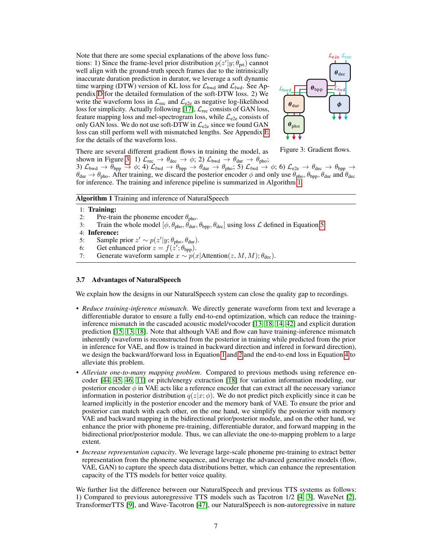Note that there are some special explanations of the above loss functions: 1) Since the frame-level prior distribution  $p(z'|y; \theta_{\text{pri}})$  cannot well align with the ground-truth speech frames due to the intrinsically inaccurate duration prediction in durator, we leverage a soft dynamic time warping (DTW) version of KL loss for  $\mathcal{L}_{bwd}$  and  $\mathcal{L}_{fwd}$ . See Appendix [D](#page-15-1) for the detailed formulation of the soft-DTW loss. 2) We write the waveform loss in  $\mathcal{L}_{\text{rec}}$  and  $\mathcal{L}_{\text{e2e}}$  as negative log-likelihood loss for simplicity. Actually following [\[17\]](#page-11-0),  $\mathcal{L}_{\text{rec}}$  consists of GAN loss, feature mapping loss and mel-spectrogram loss, while  $\mathcal{L}_{e2e}$  consists of only GAN loss. We do not use soft-DTW in  $\mathcal{L}_{e2e}$  since we found GAN loss can still perform well with mismatched lengths. See Appendix [E](#page-16-0) for the details of the waveform loss.

<span id="page-6-1"></span>

Figure 3: Gradient flows.

There are several different gradient flows in training the model, as shown in Figure [3:](#page-6-1) 1)  $\mathcal{L}_{\text{rec}} \rightarrow \theta_{\text{dec}} \rightarrow \phi$ ; 2)  $\mathcal{L}_{\text{bwd}} \rightarrow \theta_{\text{dur}} \rightarrow \theta_{\text{pho}}$ ;

3)  $\mathcal{L}_{\text{bwd}} \to \theta_{\text{bpp}} \to \phi$ ; 4)  $\mathcal{L}_{\text{fwd}} \to \theta_{\text{bpp}} \to \theta_{\text{dur}} \to \theta_{\text{pho}}$ ; 5)  $\mathcal{L}_{\text{fwd}} \to \phi$ ; 6)  $\mathcal{L}_{\text{e2e}} \to \theta_{\text{dec}} \to \theta_{\text{bpp}} \to$  $\theta_{\text{dur}} \to \theta_{\text{pho}}$ . After training, we discard the posterior encoder  $\phi$  and only use  $\theta_{\text{pho}}$ ,  $\theta_{\text{bpp}}$ ,  $\theta_{\text{dur}}$  and  $\theta_{\text{dec}}$ for inference. The training and inference pipeline is summarized in Algorithm [1.](#page-6-2)

## <span id="page-6-2"></span>Algorithm 1 Training and inference of NaturalSpeech

- 1: Training:
- 2: Pre-train the phoneme encoder  $\theta_{pho}$ .
- 3: Train the whole model  $[\phi, \theta_{pho}, \dot{\theta}_{dur}, \theta_{bpp}, \theta_{dec}]$  using loss  $\mathcal L$  defined in Equation [5.](#page-5-5)
- 4: Inference:
- 5: Sample prior  $z' \sim p(z'|y; \theta_{pho}, \theta_{dur})$ .
- 6: Get enhanced prior  $z = f(z'; \theta_{\text{bpp}})$ .
- 7: Generate waveform sample  $x \sim p(x)$ Attention( $z, M, M$ );  $\theta_{\text{dec}}$ ).

## <span id="page-6-0"></span>3.7 Advantages of NaturalSpeech

We explain how the designs in our NaturalSpeech system can close the quality gap to recordings.

- *Reduce training-inference mismatch*. We directly generate waveform from text and leverage a differentiable durator to ensure a fully end-to-end optimization, which can reduce the traininginference mismatch in the cascaded acoustic model/vocoder [\[13,](#page-10-11) [18,](#page-11-1) [14,](#page-10-12) [42\]](#page-12-7) and explicit duration prediction [\[15,](#page-10-13) [13,](#page-10-11) [18\]](#page-11-1). Note that although VAE and flow can have training-inference mismatch inherently (waveform is reconstructed from the posterior in training while predicted from the prior in inference for VAE, and flow is trained in backward direction and infered in forward direction), we design the backward/forward loss in Equation [1](#page-4-2) and [2](#page-5-2) and the end-to-end loss in Equation [4](#page-5-4) to alleviate this problem.
- *Alleviate one-to-many mapping problem*. Compared to previous methods using reference encoder [\[44,](#page-12-9) [45,](#page-12-10) [46,](#page-12-11) [11\]](#page-10-9) or pitch/energy extraction [\[18\]](#page-11-1) for variation information modeling, our posterior encoder  $\phi$  in VAE acts like a reference encoder that can extract all the necessary variance information in posterior distribution  $q(z|x; \phi)$ . We do not predict pitch explicitly since it can be learned implicitly in the posterior encoder and the memory bank of VAE. To ensure the prior and posterior can match with each other, on the one hand, we simplify the posterior with memory VAE and backward mapping in the bidirectional prior/posterior module, and on the other hand, we enhance the prior with phoneme pre-training, differentiable durator, and forward mapping in the bidirectional prior/posterior module. Thus, we can alleviate the one-to-mapping problem to a large extent.
- *Increase representation capacity*. We leverage large-scale phoneme pre-training to extract better representation from the phoneme sequence, and leverage the advanced generative models (flow, VAE, GAN) to capture the speech data distributions better, which can enhance the representation capacity of the TTS models for better voice quality.

We further list the difference between our NaturalSpeech and previous TTS systems as follows: 1) Compared to previous autoregressive TTS models such as Tacotron 1/2 [\[4,](#page-10-2) [3\]](#page-10-1), WaveNet [\[2\]](#page-10-0), TransformerTTS [\[9\]](#page-10-7), and Wave-Tacotron [\[47\]](#page-12-12), our NaturalSpeech is non-autoregressive in nature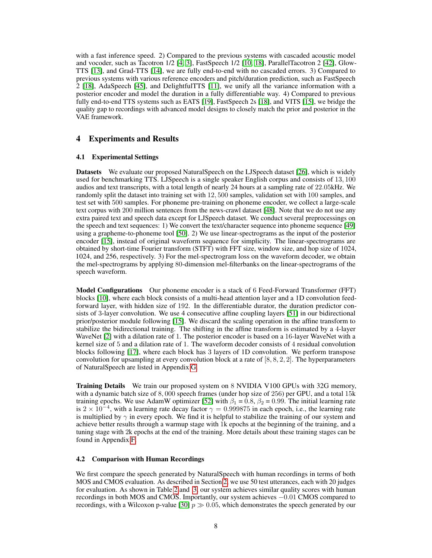with a fast inference speed. 2) Compared to the previous systems with cascaded acoustic model and vocoder, such as Tacotron 1/2 [\[4,](#page-10-2) [3\]](#page-10-1), FastSpeech 1/2 [\[10,](#page-10-8) [18\]](#page-11-1), ParallelTacotron 2 [\[42\]](#page-12-7), Glow-TTS [\[13\]](#page-10-11), and Grad-TTS [\[14\]](#page-10-12), we are fully end-to-end with no cascaded errors. 3) Compared to previous systems with various reference encoders and pitch/duration prediction, such as FastSpeech 2 [\[18\]](#page-11-1), AdaSpeech [\[45\]](#page-12-10), and DelightfulTTS [\[11\]](#page-10-9), we unify all the variance information with a posterior encoder and model the duration in a fully differentiable way. 4) Compared to previous fully end-to-end TTS systems such as EATS [\[19\]](#page-11-2), FastSpeech 2s [\[18\]](#page-11-1), and VITS [\[15\]](#page-10-13), we bridge the quality gap to recordings with advanced model designs to closely match the prior and posterior in the VAE framework.

## 4 Experiments and Results

#### 4.1 Experimental Settings

**Datasets** We evaluate our proposed Natural Speech on the LJSpeech dataset [\[26\]](#page-11-9), which is widely used for benchmarking TTS. LJSpeech is a single speaker English corpus and consists of 13, 100 audios and text transcripts, with a total length of nearly 24 hours at a sampling rate of 22.05kHz. We randomly split the dataset into training set with 12, 500 samples, validation set with 100 samples, and test set with 500 samples. For phoneme pre-training on phoneme encoder, we collect a large-scale text corpus with 200 million sentences from the news-crawl dataset [\[48\]](#page-12-13). Note that we do not use any extra paired text and speech data except for LJSpeech dataset. We conduct several preprocessings on the speech and text sequences: 1) We convert the text/character sequence into phoneme sequence [\[49\]](#page-12-14) using a grapheme-to-phoneme tool [\[50\]](#page-12-15). 2) We use linear-spectrograms as the input of the posterior encoder [\[15\]](#page-10-13), instead of original waveform sequence for simplicity. The linear-spectrograms are obtained by short-time Fourier transform (STFT) with FFT size, window size, and hop size of 1024, 1024, and 256, respectively. 3) For the mel-spectrogram loss on the waveform decoder, we obtain the mel-spectrograms by applying 80-dimension mel-filterbanks on the linear-spectrograms of the speech waveform.

Model Configurations Our phoneme encoder is a stack of 6 Feed-Forward Transformer (FFT) blocks [\[10\]](#page-10-8), where each block consists of a multi-head attention layer and a 1D convolution feedforward layer, with hidden size of 192. In the differentiable durator, the duration predictor consists of 3-layer convolution. We use 4 consecutive affine coupling layers [\[51\]](#page-12-16) in our bidirectional prior/posterior module following [\[15\]](#page-10-13). We discard the scaling operation in the affine transform to stabilize the bidirectional training. The shifting in the affine transform is estimated by a 4-layer WaveNet [\[2\]](#page-10-0) with a dilation rate of 1. The posterior encoder is based on a 16-layer WaveNet with a kernel size of 5 and a dilation rate of 1. The waveform decoder consists of 4 residual convolution blocks following [\[17\]](#page-11-0), where each block has 3 layers of 1D convolution. We perform transpose convolution for upsampling at every convolution block at a rate of  $[8, 8, 2, 2]$ . The hyperparameters of NaturalSpeech are listed in Appendix [G.](#page-17-0)

Training Details We train our proposed system on 8 NVIDIA V100 GPUs with 32G memory, with a dynamic batch size of 8, 000 speech frames (under hop size of 256) per GPU, and a total 15k training epochs. We use AdamW optimizer [\[52\]](#page-13-1) with  $\beta_1 = 0.8$ ,  $\beta_2 = 0.99$ . The initial learning rate is 2 × 10<sup>-4</sup>, with a learning rate decay factor  $\gamma = 0.999875$  in each epoch, i.e., the learning rate is multiplied by  $\gamma$  in every epoch. We find it is helpful to stabilize the training of our system and achieve better results through a warmup stage with 1k epochs at the beginning of the training, and a tuning stage with 2k epochs at the end of the training. More details about these training stages can be found in Appendix [F.](#page-16-1)

#### 4.2 Comparison with Human Recordings

We first compare the speech generated by Natural Speech with human recordings in terms of both MOS and CMOS evaluation. As described in Section [2,](#page-1-2) we use 50 test utterances, each with 20 judges for evaluation. As shown in Table [2](#page-8-0) and [3,](#page-8-1) our system achieves similar quality scores with human recordings in both MOS and CMOS. Importantly, our system achieves −0.01 CMOS compared to recordings, with a Wilcoxon p-value [\[30\]](#page-11-13)  $p \gg 0.05$ , which demonstrates the speech generated by our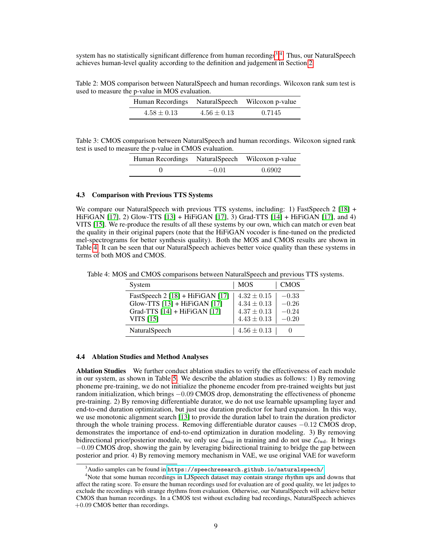system has no statistically significant difference from human recordings<sup>[3](#page-8-2)</sup><sup>4</sup>. Thus, our NaturalSpeech achieves human-level quality according to the definition and judgement in Section [2.](#page-1-2)

<span id="page-8-0"></span>Table 2: MOS comparison between NaturalSpeech and human recordings. Wilcoxon rank sum test is used to measure the p-value in MOS evaluation.

| Human Recordings Natural Speech Wilcoxon p-value |                 |        |
|--------------------------------------------------|-----------------|--------|
| $4.58 \pm 0.13$                                  | $4.56 \pm 0.13$ | 0.7145 |

<span id="page-8-1"></span>Table 3: CMOS comparison between NaturalSpeech and human recordings. Wilcoxon signed rank test is used to measure the p-value in CMOS evaluation.

| Human Recordings Natural Speech Wilcoxon p-value |         |        |
|--------------------------------------------------|---------|--------|
|                                                  | $-0.01$ | 0.6902 |

### 4.3 Comparison with Previous TTS Systems

We compare our NaturalSpeech with previous TTS systems, including: 1) FastSpeech 2 [\[18\]](#page-11-1) + HiFiGAN [\[17\]](#page-11-0), 2) Glow-TTS [\[13\]](#page-10-11) + HiFiGAN [\[17\]](#page-11-0), 3) Grad-TTS [\[14\]](#page-10-12) + HiFiGAN [\[17\]](#page-11-0), and 4) VITS [\[15\]](#page-10-13). We re-produce the results of all these systems by our own, which can match or even beat the quality in their original papers (note that the HiFiGAN vocoder is fine-tuned on the predicted mel-spectrograms for better synthesis quality). Both the MOS and CMOS results are shown in Table [4.](#page-8-4) It can be seen that our NaturalSpeech achieves better voice quality than these systems in terms of both MOS and CMOS.

<span id="page-8-4"></span>Table 4: MOS and CMOS comparisons between NaturalSpeech and previous TTS systems.

| System                                                               | <b>MOS</b>                         | <b>CMOS</b>        |
|----------------------------------------------------------------------|------------------------------------|--------------------|
| FastSpeech $2$ [18] + HiFiGAN [17]                                   | $4.32 \pm 0.15$                    | $-0.33$            |
| Glow-TTS $[13]$ + HiFiGAN $[17]$<br>Grad-TTS $[14]$ + HiFiGAN $[17]$ | $4.34 \pm 0.13$<br>$4.37 \pm 0.13$ | $-0.26$<br>$-0.24$ |
| <b>VITS</b> [15]                                                     | $4.43 \pm 0.13$                    | $-0.20$            |
| NaturalSpeech                                                        | $4.56 \pm 0.13$                    |                    |

### 4.4 Ablation Studies and Method Analyses

Ablation Studies We further conduct ablation studies to verify the effectiveness of each module in our system, as shown in Table [5.](#page-9-1) We describe the ablation studies as follows: 1) By removing phoneme pre-training, we do not initialize the phoneme encoder from pre-trained weights but just random initialization, which brings −0.09 CMOS drop, demonstrating the effectiveness of phoneme pre-training. 2) By removing differentiable durator, we do not use learnable upsampling layer and end-to-end duration optimization, but just use duration predictor for hard expansion. In this way, we use monotonic alignment search [\[13\]](#page-10-11) to provide the duration label to train the duration predictor through the whole training process. Removing differentiable durator causes −0.12 CMOS drop, demonstrates the importance of end-to-end optimization in duration modeling. 3) By removing bidirectional prior/posterior module, we only use  $\mathcal{L}_{bwd}$  in training and do not use  $\mathcal{L}_{fwd}$ . It brings −0.09 CMOS drop, showing the gain by leveraging bidirectional training to bridge the gap between posterior and prior. 4) By removing memory mechanism in VAE, we use original VAE for waveform

<span id="page-8-3"></span><span id="page-8-2"></span><sup>&</sup>lt;sup>3</sup>Audio samples can be found in <https://speechresearch.github.io/naturalspeech/>

<sup>4</sup>Note that some human recordings in LJSpeech dataset may contain strange rhythm ups and downs that affect the rating score. To ensure the human recordings used for evaluation are of good quality, we let judges to exclude the recordings with strange rhythms from evaluation. Otherwise, our NaturalSpeech will achieve better CMOS than human recordings. In a CMOS test without excluding bad recordings, NaturalSpeech achieves +0.09 CMOS better than recordings.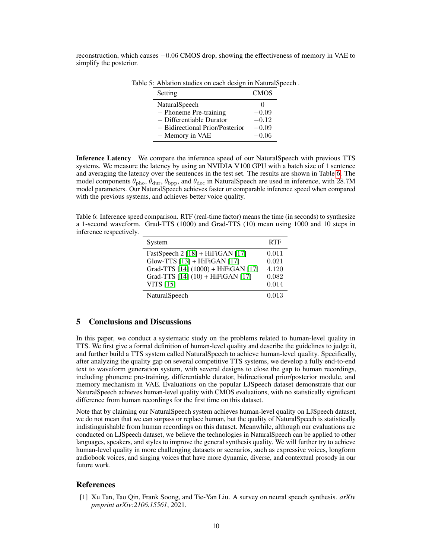<span id="page-9-1"></span>reconstruction, which causes −0.06 CMOS drop, showing the effectiveness of memory in VAE to simplify the posterior.

| Setting                         | <b>CMOS</b> |
|---------------------------------|-------------|
| NaturalSpeech                   |             |
| $-$ Phoneme Pre-training        | $-0.09$     |
| - Differentiable Durator        | $-0.12$     |
| - Bidirectional Prior/Posterior | $-0.09$     |
| - Memory in VAE                 | $-0.06$     |

Table 5: Ablation studies on each design in NaturalSpeech .

Inference Latency We compare the inference speed of our NaturalSpeech with previous TTS systems. We measure the latency by using an NVIDIA V100 GPU with a batch size of 1 sentence and averaging the latency over the sentences in the test set. The results are shown in Table [6.](#page-9-2) The model components  $\theta_{\text{pho}}, \theta_{\text{dur}}, \theta_{\text{bpp}},$  and  $\theta_{\text{dec}}$  in NaturalSpeech are used in inference, with 28.7M model parameters. Our NaturalSpeech achieves faster or comparable inference speed when compared with the previous systems, and achieves better voice quality.

<span id="page-9-2"></span>Table 6: Inference speed comparison. RTF (real-time factor) means the time (in seconds) to synthesize a 1-second waveform. Grad-TTS (1000) and Grad-TTS (10) mean using 1000 and 10 steps in inference respectively.

| System                                                                  | RTF            |
|-------------------------------------------------------------------------|----------------|
| FastSpeech $2$ [18] + HiFiGAN [17]                                      | 0.011          |
| Glow-TTS $[13]$ + HiFiGAN $[17]$<br>Grad-TTS [14] (1000) + HiFiGAN [17] | 0.021<br>4.120 |
| Grad-TTS [14] (10) + HiFiGAN [17]                                       | 0.082          |
| <b>VITS</b> [15]                                                        | 0.014          |
| NaturalSpeech                                                           | 0.013          |

# 5 Conclusions and Discussions

In this paper, we conduct a systematic study on the problems related to human-level quality in TTS. We first give a formal definition of human-level quality and describe the guidelines to judge it, and further build a TTS system called NaturalSpeech to achieve human-level quality. Specifically, after analyzing the quality gap on several competitive TTS systems, we develop a fully end-to-end text to waveform generation system, with several designs to close the gap to human recordings, including phoneme pre-training, differentiable durator, bidirectional prior/posterior module, and memory mechanism in VAE. Evaluations on the popular LJSpeech dataset demonstrate that our NaturalSpeech achieves human-level quality with CMOS evaluations, with no statistically significant difference from human recordings for the first time on this dataset.

Note that by claiming our NaturalSpeech system achieves human-level quality on LJSpeech dataset, we do not mean that we can surpass or replace human, but the quality of NaturalSpeech is statistically indistinguishable from human recordings on this dataset. Meanwhile, although our evaluations are conducted on LJSpeech dataset, we believe the technologies in NaturalSpeech can be applied to other languages, speakers, and styles to improve the general synthesis quality. We will further try to achieve human-level quality in more challenging datasets or scenarios, such as expressive voices, longform audiobook voices, and singing voices that have more dynamic, diverse, and contextual prosody in our future work.

# References

<span id="page-9-0"></span>[1] Xu Tan, Tao Qin, Frank Soong, and Tie-Yan Liu. A survey on neural speech synthesis. *arXiv preprint arXiv:2106.15561*, 2021.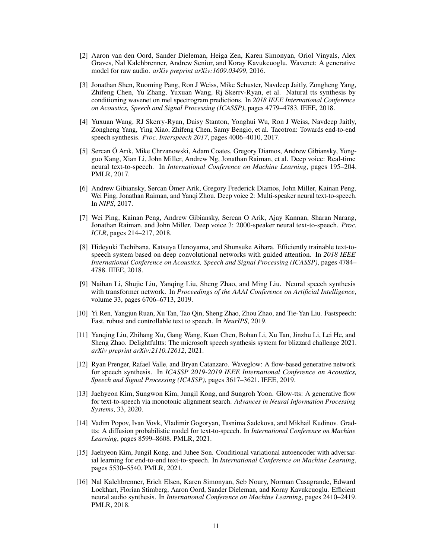- <span id="page-10-0"></span>[2] Aaron van den Oord, Sander Dieleman, Heiga Zen, Karen Simonyan, Oriol Vinyals, Alex Graves, Nal Kalchbrenner, Andrew Senior, and Koray Kavukcuoglu. Wavenet: A generative model for raw audio. *arXiv preprint arXiv:1609.03499*, 2016.
- <span id="page-10-1"></span>[3] Jonathan Shen, Ruoming Pang, Ron J Weiss, Mike Schuster, Navdeep Jaitly, Zongheng Yang, Zhifeng Chen, Yu Zhang, Yuxuan Wang, Rj Skerrv-Ryan, et al. Natural tts synthesis by conditioning wavenet on mel spectrogram predictions. In *2018 IEEE International Conference on Acoustics, Speech and Signal Processing (ICASSP)*, pages 4779–4783. IEEE, 2018.
- <span id="page-10-2"></span>[4] Yuxuan Wang, RJ Skerry-Ryan, Daisy Stanton, Yonghui Wu, Ron J Weiss, Navdeep Jaitly, Zongheng Yang, Ying Xiao, Zhifeng Chen, Samy Bengio, et al. Tacotron: Towards end-to-end speech synthesis. *Proc. Interspeech 2017*, pages 4006–4010, 2017.
- <span id="page-10-3"></span>[5] Sercan Ö Arık, Mike Chrzanowski, Adam Coates, Gregory Diamos, Andrew Gibiansky, Yongguo Kang, Xian Li, John Miller, Andrew Ng, Jonathan Raiman, et al. Deep voice: Real-time neural text-to-speech. In *International Conference on Machine Learning*, pages 195–204. PMLR, 2017.
- <span id="page-10-4"></span>[6] Andrew Gibiansky, Sercan Ömer Arik, Gregory Frederick Diamos, John Miller, Kainan Peng, Wei Ping, Jonathan Raiman, and Yanqi Zhou. Deep voice 2: Multi-speaker neural text-to-speech. In *NIPS*, 2017.
- <span id="page-10-5"></span>[7] Wei Ping, Kainan Peng, Andrew Gibiansky, Sercan O Arik, Ajay Kannan, Sharan Narang, Jonathan Raiman, and John Miller. Deep voice 3: 2000-speaker neural text-to-speech. *Proc. ICLR*, pages 214–217, 2018.
- <span id="page-10-6"></span>[8] Hideyuki Tachibana, Katsuya Uenoyama, and Shunsuke Aihara. Efficiently trainable text-tospeech system based on deep convolutional networks with guided attention. In *2018 IEEE International Conference on Acoustics, Speech and Signal Processing (ICASSP)*, pages 4784– 4788. IEEE, 2018.
- <span id="page-10-7"></span>[9] Naihan Li, Shujie Liu, Yanqing Liu, Sheng Zhao, and Ming Liu. Neural speech synthesis with transformer network. In *Proceedings of the AAAI Conference on Artificial Intelligence*, volume 33, pages 6706–6713, 2019.
- <span id="page-10-8"></span>[10] Yi Ren, Yangjun Ruan, Xu Tan, Tao Qin, Sheng Zhao, Zhou Zhao, and Tie-Yan Liu. Fastspeech: Fast, robust and controllable text to speech. In *NeurIPS*, 2019.
- <span id="page-10-9"></span>[11] Yanqing Liu, Zhihang Xu, Gang Wang, Kuan Chen, Bohan Li, Xu Tan, Jinzhu Li, Lei He, and Sheng Zhao. Delightfultts: The microsoft speech synthesis system for blizzard challenge 2021. *arXiv preprint arXiv:2110.12612*, 2021.
- <span id="page-10-10"></span>[12] Ryan Prenger, Rafael Valle, and Bryan Catanzaro. Waveglow: A flow-based generative network for speech synthesis. In *ICASSP 2019-2019 IEEE International Conference on Acoustics, Speech and Signal Processing (ICASSP)*, pages 3617–3621. IEEE, 2019.
- <span id="page-10-11"></span>[13] Jaehyeon Kim, Sungwon Kim, Jungil Kong, and Sungroh Yoon. Glow-tts: A generative flow for text-to-speech via monotonic alignment search. *Advances in Neural Information Processing Systems*, 33, 2020.
- <span id="page-10-12"></span>[14] Vadim Popov, Ivan Vovk, Vladimir Gogoryan, Tasnima Sadekova, and Mikhail Kudinov. Gradtts: A diffusion probabilistic model for text-to-speech. In *International Conference on Machine Learning*, pages 8599–8608. PMLR, 2021.
- <span id="page-10-13"></span>[15] Jaehyeon Kim, Jungil Kong, and Juhee Son. Conditional variational autoencoder with adversarial learning for end-to-end text-to-speech. In *International Conference on Machine Learning*, pages 5530–5540. PMLR, 2021.
- <span id="page-10-14"></span>[16] Nal Kalchbrenner, Erich Elsen, Karen Simonyan, Seb Noury, Norman Casagrande, Edward Lockhart, Florian Stimberg, Aaron Oord, Sander Dieleman, and Koray Kavukcuoglu. Efficient neural audio synthesis. In *International Conference on Machine Learning*, pages 2410–2419. PMLR, 2018.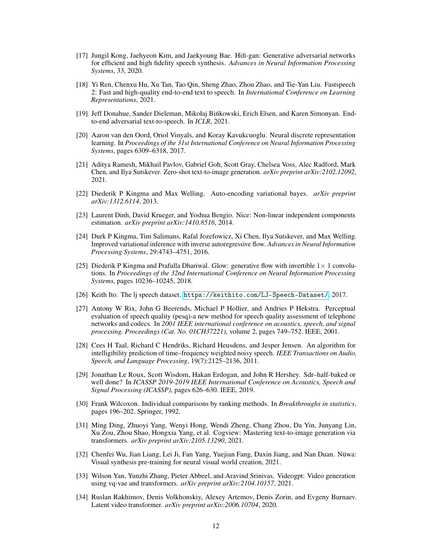- <span id="page-11-0"></span>[17] Jungil Kong, Jaehyeon Kim, and Jaekyoung Bae. Hifi-gan: Generative adversarial networks for efficient and high fidelity speech synthesis. *Advances in Neural Information Processing Systems*, 33, 2020.
- <span id="page-11-1"></span>[18] Yi Ren, Chenxu Hu, Xu Tan, Tao Qin, Sheng Zhao, Zhou Zhao, and Tie-Yan Liu. Fastspeech 2: Fast and high-quality end-to-end text to speech. In *International Conference on Learning Representations*, 2021.
- <span id="page-11-2"></span>[19] Jeff Donahue, Sander Dieleman, Mikołaj Binkowski, Erich Elsen, and Karen Simonyan. End- ´ to-end adversarial text-to-speech. In *ICLR*, 2021.
- <span id="page-11-3"></span>[20] Aaron van den Oord, Oriol Vinyals, and Koray Kavukcuoglu. Neural discrete representation learning. In *Proceedings of the 31st International Conference on Neural Information Processing Systems*, pages 6309–6318, 2017.
- <span id="page-11-4"></span>[21] Aditya Ramesh, Mikhail Pavlov, Gabriel Goh, Scott Gray, Chelsea Voss, Alec Radford, Mark Chen, and Ilya Sutskever. Zero-shot text-to-image generation. *arXiv preprint arXiv:2102.12092*, 2021.
- <span id="page-11-5"></span>[22] Diederik P Kingma and Max Welling. Auto-encoding variational bayes. *arXiv preprint arXiv:1312.6114*, 2013.
- <span id="page-11-6"></span>[23] Laurent Dinh, David Krueger, and Yoshua Bengio. Nice: Non-linear independent components estimation. *arXiv preprint arXiv:1410.8516*, 2014.
- <span id="page-11-7"></span>[24] Durk P Kingma, Tim Salimans, Rafal Jozefowicz, Xi Chen, Ilya Sutskever, and Max Welling. Improved variational inference with inverse autoregressive flow. *Advances in Neural Information Processing Systems*, 29:4743–4751, 2016.
- <span id="page-11-8"></span>[25] Diederik P Kingma and Prafulla Dhariwal. Glow: generative flow with invertible  $1 \times 1$  convolutions. In *Proceedings of the 32nd International Conference on Neural Information Processing Systems*, pages 10236–10245, 2018.
- <span id="page-11-9"></span>[26] Keith Ito. The lj speech dataset. <https://keithito.com/LJ-Speech-Dataset/>, 2017.
- <span id="page-11-10"></span>[27] Antony W Rix, John G Beerends, Michael P Hollier, and Andries P Hekstra. Perceptual evaluation of speech quality (pesq)-a new method for speech quality assessment of telephone networks and codecs. In *2001 IEEE international conference on acoustics, speech, and signal processing. Proceedings (Cat. No. 01CH37221)*, volume 2, pages 749–752. IEEE, 2001.
- <span id="page-11-11"></span>[28] Cees H Taal, Richard C Hendriks, Richard Heusdens, and Jesper Jensen. An algorithm for intelligibility prediction of time–frequency weighted noisy speech. *IEEE Transactions on Audio, Speech, and Language Processing*, 19(7):2125–2136, 2011.
- <span id="page-11-12"></span>[29] Jonathan Le Roux, Scott Wisdom, Hakan Erdogan, and John R Hershey. Sdr–half-baked or well done? In *ICASSP 2019-2019 IEEE International Conference on Acoustics, Speech and Signal Processing (ICASSP)*, pages 626–630. IEEE, 2019.
- <span id="page-11-13"></span>[30] Frank Wilcoxon. Individual comparisons by ranking methods. In *Breakthroughs in statistics*, pages 196–202. Springer, 1992.
- <span id="page-11-14"></span>[31] Ming Ding, Zhuoyi Yang, Wenyi Hong, Wendi Zheng, Chang Zhou, Da Yin, Junyang Lin, Xu Zou, Zhou Shao, Hongxia Yang, et al. Cogview: Mastering text-to-image generation via transformers. *arXiv preprint arXiv:2105.13290*, 2021.
- <span id="page-11-15"></span>[32] Chenfei Wu, Jian Liang, Lei Ji, Fan Yang, Yuejian Fang, Daxin Jiang, and Nan Duan. Nüwa: Visual synthesis pre-training for neural visual world creation, 2021.
- <span id="page-11-16"></span>[33] Wilson Yan, Yunzhi Zhang, Pieter Abbeel, and Aravind Srinivas. Videogpt: Video generation using vq-vae and transformers. *arXiv preprint arXiv:2104.10157*, 2021.
- <span id="page-11-17"></span>[34] Ruslan Rakhimov, Denis Volkhonskiy, Alexey Artemov, Denis Zorin, and Evgeny Burnaev. Latent video transformer. *arXiv preprint arXiv:2006.10704*, 2020.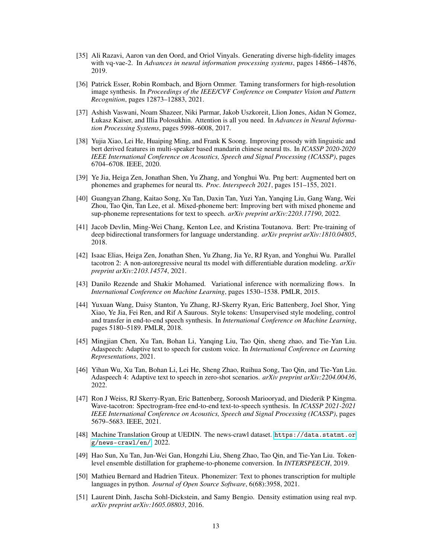- <span id="page-12-0"></span>[35] Ali Razavi, Aaron van den Oord, and Oriol Vinyals. Generating diverse high-fidelity images with vq-vae-2. In *Advances in neural information processing systems*, pages 14866–14876, 2019.
- <span id="page-12-1"></span>[36] Patrick Esser, Robin Rombach, and Bjorn Ommer. Taming transformers for high-resolution image synthesis. In *Proceedings of the IEEE/CVF Conference on Computer Vision and Pattern Recognition*, pages 12873–12883, 2021.
- <span id="page-12-2"></span>[37] Ashish Vaswani, Noam Shazeer, Niki Parmar, Jakob Uszkoreit, Llion Jones, Aidan N Gomez, Łukasz Kaiser, and Illia Polosukhin. Attention is all you need. In *Advances in Neural Information Processing Systems*, pages 5998–6008, 2017.
- <span id="page-12-3"></span>[38] Yujia Xiao, Lei He, Huaiping Ming, and Frank K Soong. Improving prosody with linguistic and bert derived features in multi-speaker based mandarin chinese neural tts. In *ICASSP 2020-2020 IEEE International Conference on Acoustics, Speech and Signal Processing (ICASSP)*, pages 6704–6708. IEEE, 2020.
- <span id="page-12-4"></span>[39] Ye Jia, Heiga Zen, Jonathan Shen, Yu Zhang, and Yonghui Wu. Png bert: Augmented bert on phonemes and graphemes for neural tts. *Proc. Interspeech 2021*, pages 151–155, 2021.
- <span id="page-12-5"></span>[40] Guangyan Zhang, Kaitao Song, Xu Tan, Daxin Tan, Yuzi Yan, Yanqing Liu, Gang Wang, Wei Zhou, Tao Qin, Tan Lee, et al. Mixed-phoneme bert: Improving bert with mixed phoneme and sup-phoneme representations for text to speech. *arXiv preprint arXiv:2203.17190*, 2022.
- <span id="page-12-6"></span>[41] Jacob Devlin, Ming-Wei Chang, Kenton Lee, and Kristina Toutanova. Bert: Pre-training of deep bidirectional transformers for language understanding. *arXiv preprint arXiv:1810.04805*, 2018.
- <span id="page-12-7"></span>[42] Isaac Elias, Heiga Zen, Jonathan Shen, Yu Zhang, Jia Ye, RJ Ryan, and Yonghui Wu. Parallel tacotron 2: A non-autoregressive neural tts model with differentiable duration modeling. *arXiv preprint arXiv:2103.14574*, 2021.
- <span id="page-12-8"></span>[43] Danilo Rezende and Shakir Mohamed. Variational inference with normalizing flows. In *International Conference on Machine Learning*, pages 1530–1538. PMLR, 2015.
- <span id="page-12-9"></span>[44] Yuxuan Wang, Daisy Stanton, Yu Zhang, RJ-Skerry Ryan, Eric Battenberg, Joel Shor, Ying Xiao, Ye Jia, Fei Ren, and Rif A Saurous. Style tokens: Unsupervised style modeling, control and transfer in end-to-end speech synthesis. In *International Conference on Machine Learning*, pages 5180–5189. PMLR, 2018.
- <span id="page-12-10"></span>[45] Mingjian Chen, Xu Tan, Bohan Li, Yanqing Liu, Tao Qin, sheng zhao, and Tie-Yan Liu. Adaspeech: Adaptive text to speech for custom voice. In *International Conference on Learning Representations*, 2021.
- <span id="page-12-11"></span>[46] Yihan Wu, Xu Tan, Bohan Li, Lei He, Sheng Zhao, Ruihua Song, Tao Qin, and Tie-Yan Liu. Adaspeech 4: Adaptive text to speech in zero-shot scenarios. *arXiv preprint arXiv:2204.00436*, 2022.
- <span id="page-12-12"></span>[47] Ron J Weiss, RJ Skerry-Ryan, Eric Battenberg, Soroosh Mariooryad, and Diederik P Kingma. Wave-tacotron: Spectrogram-free end-to-end text-to-speech synthesis. In *ICASSP 2021-2021 IEEE International Conference on Acoustics, Speech and Signal Processing (ICASSP)*, pages 5679–5683. IEEE, 2021.
- <span id="page-12-13"></span>[48] Machine Translation Group at UEDIN. The news-crawl dataset. [https://data.statmt.or](https://data.statmt.org/news-crawl/en/) [g/news-crawl/en/](https://data.statmt.org/news-crawl/en/), 2022.
- <span id="page-12-14"></span>[49] Hao Sun, Xu Tan, Jun-Wei Gan, Hongzhi Liu, Sheng Zhao, Tao Qin, and Tie-Yan Liu. Tokenlevel ensemble distillation for grapheme-to-phoneme conversion. In *INTERSPEECH*, 2019.
- <span id="page-12-15"></span>[50] Mathieu Bernard and Hadrien Titeux. Phonemizer: Text to phones transcription for multiple languages in python. *Journal of Open Source Software*, 6(68):3958, 2021.
- <span id="page-12-16"></span>[51] Laurent Dinh, Jascha Sohl-Dickstein, and Samy Bengio. Density estimation using real nvp. *arXiv preprint arXiv:1605.08803*, 2016.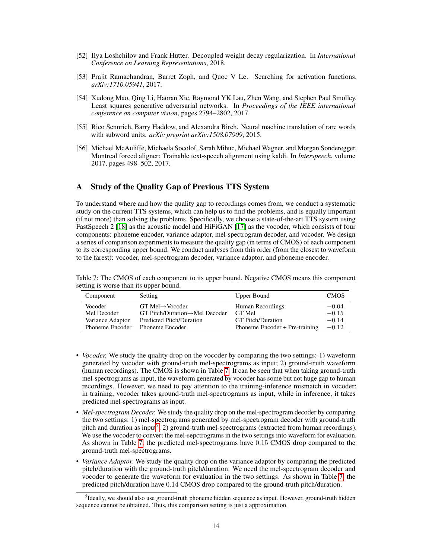- <span id="page-13-1"></span>[52] Ilya Loshchilov and Frank Hutter. Decoupled weight decay regularization. In *International Conference on Learning Representations*, 2018.
- <span id="page-13-4"></span>[53] Prajit Ramachandran, Barret Zoph, and Quoc V Le. Searching for activation functions. *arXiv:1710.05941*, 2017.
- <span id="page-13-5"></span>[54] Xudong Mao, Qing Li, Haoran Xie, Raymond YK Lau, Zhen Wang, and Stephen Paul Smolley. Least squares generative adversarial networks. In *Proceedings of the IEEE international conference on computer vision*, pages 2794–2802, 2017.
- <span id="page-13-6"></span>[55] Rico Sennrich, Barry Haddow, and Alexandra Birch. Neural machine translation of rare words with subword units. *arXiv preprint arXiv:1508.07909*, 2015.
- <span id="page-13-7"></span>[56] Michael McAuliffe, Michaela Socolof, Sarah Mihuc, Michael Wagner, and Morgan Sonderegger. Montreal forced aligner: Trainable text-speech alignment using kaldi. In *Interspeech*, volume 2017, pages 498–502, 2017.

# <span id="page-13-0"></span>A Study of the Quality Gap of Previous TTS System

To understand where and how the quality gap to recordings comes from, we conduct a systematic study on the current TTS systems, which can help us to find the problems, and is equally important (if not more) than solving the problems. Specifically, we choose a state-of-the-art TTS system using FastSpeech 2 [\[18\]](#page-11-1) as the acoustic model and HiFiGAN [\[17\]](#page-11-0) as the vocoder, which consists of four components: phoneme encoder, variance adaptor, mel-spectrogram decoder, and vocoder. We design a series of comparison experiments to measure the quality gap (in terms of CMOS) of each component to its corresponding upper bound. We conduct analyses from this order (from the closest to waveform to the farest): vocoder, mel-spectrogram decoder, variance adaptor, and phoneme encoder.

<span id="page-13-2"></span>

| Table 7: The CMOS of each component to its upper bound. Negative CMOS means this component |  |  |  |
|--------------------------------------------------------------------------------------------|--|--|--|
| setting is worse than its upper bound.                                                     |  |  |  |

| Component        | Setting                                       | Upper Bound                      | <b>CMOS</b> |
|------------------|-----------------------------------------------|----------------------------------|-------------|
| Vocoder          | $GT$ Mel $\rightarrow$ Vocoder                | Human Recordings                 | $-0.04$     |
| Mel Decoder      | $GT$ Pitch/Duration $\rightarrow$ Mel Decoder | GT Mel                           | $-0.15$     |
| Variance Adaptor | <b>Predicted Pitch/Duration</b>               | <b>GT</b> Pitch/Duration         | $-0.14$     |
| Phoneme Encoder  | Phoneme Encoder                               | Phoneme Encoder $+$ Pre-training | $-0.12$     |

- *Vocoder.* We study the quality drop on the vocoder by comparing the two settings: 1) waveform generated by vocoder with ground-truth mel-spectrograms as input; 2) ground-truth waveform (human recordings). The CMOS is shown in Table [7.](#page-13-2) It can be seen that when taking ground-truth mel-spectrograms as input, the waveform generated by vocoder has some but not huge gap to human recordings. However, we need to pay attention to the training-inference mismatch in vocoder: in training, vocoder takes ground-truth mel-spectrograms as input, while in inference, it takes predicted mel-spectrograms as input.
- *Mel-spectrogram Decoder.* We study the quality drop on the mel-spectrogram decoder by comparing the two settings: 1) mel-spectrograms generated by mel-spectrogram decoder with ground-truth pitch and duration as input<sup>[5](#page-13-3)</sup>; 2) ground-truth mel-spectrograms (extracted from human recordings). We use the vocoder to convert the mel-sepctrograms in the two settings into waveform for evaluation. As shown in Table [7,](#page-13-2) the predicted mel-spectrograms have 0.15 CMOS drop compared to the ground-truth mel-spectrograms.
- *Variance Adaptor.* We study the quality drop on the variance adaptor by comparing the predicted pitch/duration with the ground-truth pitch/duration. We need the mel-spectrogram decoder and vocoder to generate the waveform for evaluation in the two settings. As shown in Table [7,](#page-13-2) the predicted pitch/duration have 0.14 CMOS drop compared to the ground-truth pitch/duration.

<span id="page-13-3"></span><sup>&</sup>lt;sup>5</sup>Ideally, we should also use ground-truth phoneme hidden sequence as input. However, ground-truth hidden sequence cannot be obtained. Thus, this comparison setting is just a approximation.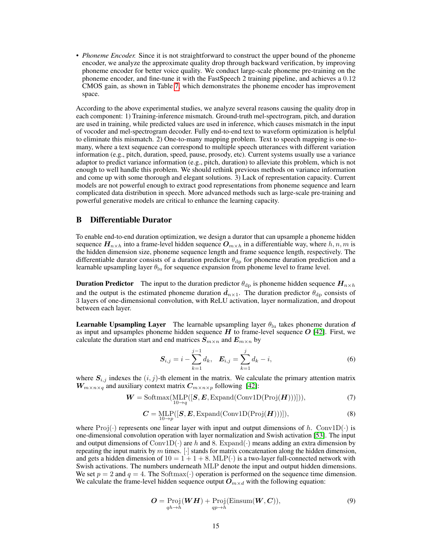• *Phoneme Encoder.* Since it is not straightforward to construct the upper bound of the phoneme encoder, we analyze the approximate quality drop through backward verification, by improving phoneme encoder for better voice quality. We conduct large-scale phoneme pre-training on the phoneme encoder, and fine-tune it with the FastSpeech 2 training pipeline, and achieves a 0.12 CMOS gain, as shown in Table [7,](#page-13-2) which demonstrates the phoneme encoder has improvement space.

According to the above experimental studies, we analyze several reasons causing the quality drop in each component: 1) Training-inference mismatch. Ground-truth mel-spectrogram, pitch, and duration are used in training, while predicted values are used in inference, which causes mismatch in the input of vocoder and mel-spectrogram decoder. Fully end-to-end text to waveform optimization is helpful to eliminate this mismatch. 2) One-to-many mapping problem. Text to speech mapping is one-tomany, where a text sequence can correspond to multiple speech utterances with different variation information (e.g., pitch, duration, speed, pause, prosody, etc). Current systems usually use a variance adaptor to predict variance information (e.g., pitch, duration) to alleviate this problem, which is not enough to well handle this problem. We should rethink previous methods on variance information and come up with some thorough and elegant solutions. 3) Lack of representation capacity. Current models are not powerful enough to extract good representations from phoneme sequence and learn complicated data distribution in speech. More advanced methods such as large-scale pre-training and powerful generative models are critical to enhance the learning capacity.

# <span id="page-14-0"></span>B Differentiable Durator

To enable end-to-end duration optimization, we design a durator that can upsample a phoneme hidden sequence  $H_{n\times h}$  into a frame-level hidden sequence  $O_{m\times h}$  in a differentiable way, where h, n, m is the hidden dimension size, phoneme sequence length and frame sequence length, respectively. The differentiable durator consists of a duration predictor  $\theta_{dp}$  for phoneme duration prediction and a learnable upsampling layer  $\theta_{\text{lu}}$  for sequence expansion from phoneme level to frame level.

**Duration Predictor** The input to the duration predictor  $\theta_{dp}$  is phoneme hidden sequence  $H_{n \times h}$ and the output is the estimated phoneme duration  $\hat{d}_{n \times 1}$ . The duration predictor  $\theta_{dp}$  consists of 3 layers of one-dimensional convolution, with ReLU activation, layer normalization, and dropout between each layer.

**Learnable Upsampling Layer** The learnable upsampling layer  $\theta_{\text{lu}}$  takes phoneme duration d as input and upsamples phoneme hidden sequence  $H$  to frame-level sequence  $O$  [\[42\]](#page-12-7). First, we calculate the duration start and end matrices  $S_{m \times n}$  and  $E_{m \times n}$  by

$$
\mathbf{S}_{i,j} = i - \sum_{k=1}^{j-1} d_k, \quad \mathbf{E}_{i,j} = \sum_{k=1}^{j} d_k - i,\tag{6}
$$

where  $S_{i,j}$  indexes the  $(i, j)$ -th element in the matrix. We calculate the primary attention matrix  $W_{m \times n \times q}$  and auxiliary context matrix  $C_{m \times n \times p}$  following [\[42\]](#page-12-7):

$$
W = \text{Softmax}(\text{MLP}([S, E, \text{Expand}(\text{Conv1D}(\text{Proj}(H)))])),
$$
\n(7)

$$
C = \underset{10 \to p}{\text{MLP}}([S, E, \text{Expand}(\text{Conv1D}(\text{Proj}(H)))]),
$$
\n(8)

where  $\text{Proj}(\cdot)$  represents one linear layer with input and output dimensions of h. Conv1D( $\cdot$ ) is one-dimensional convolution operation with layer normalization and Swish activation [\[53\]](#page-13-4). The input and output dimensions of Conv1D( $\cdot$ ) are h and 8. Expand( $\cdot$ ) means adding an extra dimension by repeating the input matrix by  $m$  times.  $[\cdot]$  stands for matrix concatenation along the hidden dimension, and gets a hidden dimension of  $10 = 1 + 1 + 8$ . MLP( $\cdot$ ) is a two-layer full-connected network with Swish activations. The numbers underneath MLP denote the input and output hidden dimensions. We set  $p = 2$  and  $q = 4$ . The Softmax( $\cdot$ ) operation is performed on the sequence time dimension. We calculate the frame-level hidden sequence output  $O_{m \times d}$  with the following equation:

$$
O = \text{Proj}(WH) + \text{Proj}(\text{Einsum}(W, C)),
$$
\n(9)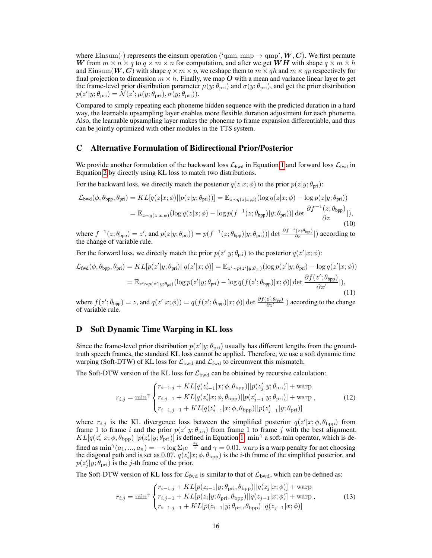where Einsum( $\cdot$ ) represents the einsum operation ('qmn, mnp  $\rightarrow$  qmp',  $W, C$ ). We first permute W from  $m \times n \times q$  to  $q \times m \times n$  for computation, and after we get  $WH$  with shape  $q \times m \times h$ and Einsum( $W, C$ ) with shape  $q \times m \times p$ , we reshape them to  $m \times qh$  and  $m \times qp$  respectively for final projection to dimension  $m \times h$ . Finally, we map O with a mean and variance linear layer to get the frame-level prior distribution parameter  $\mu(y; \theta_{\text{pri}})$  and  $\sigma(y; \theta_{\text{pri}})$ , and get the prior distribution  $p(z'|y; \theta_{\text{pri}}) = \hat{\mathcal{N}}(z'; \mu(y; \theta_{\text{pri}}), \sigma(y; \theta_{\text{pri}})).$ 

Compared to simply repeating each phoneme hidden sequence with the predicted duration in a hard way, the learnable upsampling layer enables more flexible duration adjustment for each phoneme. Also, the learnable upsampling layer makes the phoneme to frame expansion differentiable, and thus can be jointly optimized with other modules in the TTS system.

## <span id="page-15-0"></span>C Alternative Formulation of Bidirectional Prior/Posterior

We provide another formulation of the backward loss  $\mathcal{L}_{bwd}$  in Equation [1](#page-4-2) and forward loss  $\mathcal{L}_{fwd}$  in Equation [2](#page-5-2) by directly using KL loss to match two distributions.

For the backward loss, we directly match the posterior  $q(z|x; \phi)$  to the prior  $p(z|y; \theta_{\text{pri}})$ :

$$
\mathcal{L}_{bwd}(\phi, \theta_{bpp}, \theta_{pri}) = KL[q(z|x; \phi)||p(z|y; \theta_{pri}))] = \mathbb{E}_{z \sim q(z|x; \phi)}(\log q(z|x; \phi) - \log p(z|y; \theta_{pri}))
$$
  

$$
= \mathbb{E}_{z \sim q(z|x; \phi)}(\log q(z|x; \phi) - \log p(f^{-1}(z; \theta_{bpp})|y; \theta_{pri}))|\det \frac{\partial f^{-1}(z; \theta_{bpp})}{\partial z}|),
$$
(10)

where  $f^{-1}(z; \theta_{\text{bpp}}) = z'$ , and  $p(z|y; \theta_{\text{pri}})) = p(f^{-1}(z; \theta_{\text{bpp}})|y; \theta_{\text{pri}})) |\text{det} \frac{\partial f^{-1}(z; \theta_{\text{bpp}})}{\partial z}|$  according to the change of variable rule.

For the forward loss, we directly match the prior  $p(z'|y; \theta_{\text{pri}})$  to the posterior  $q(z'|x; \phi)$ :

$$
\mathcal{L}_{\text{fwd}}(\phi, \theta_{\text{bpp}}, \theta_{\text{pri}}) = KL[p(z'|y; \theta_{\text{pri}})||q(z'|x; \phi)] = \mathbb{E}_{z' \sim p(z'|y; \theta_{\text{pri}})}(\log p(z'|y; \theta_{\text{pri}}) - \log q(z'|x; \phi))
$$

$$
= \mathbb{E}_{z' \sim p(z'|y; \theta_{\text{pri}})}(\log p(z'|y; \theta_{\text{pri}}) - \log q(f(z'; \theta_{\text{bpp}})|x; \phi)| \det \frac{\partial f(z'; \theta_{\text{bpp}})}{\partial z'}|),
$$
(11)

where  $f(z'; \theta_{\text{bpp}}) = z$ , and  $q(z'|x; \phi) = q(f(z'; \theta_{\text{bpp}})|x; \phi) |\det \frac{\partial f(z'; \theta_{\text{bpp}})}{\partial z'}|$  according to the change of variable rule.

## <span id="page-15-1"></span>D Soft Dynamic Time Warping in KL loss

Since the frame-level prior distribution  $p(z'|y; \theta_{\text{pri}})$  usually has different lengths from the groundtruth speech frames, the standard KL loss cannot be applied. Therefore, we use a soft dynamic time warping (Soft-DTW) of KL loss for  $\mathcal{L}_{bwd}$  and  $\mathcal{L}_{fwd}$  to circumvent this mismatch.

The Soft-DTW version of the KL loss for  $\mathcal{L}_{bwd}$  can be obtained by recursive calculation:

$$
r_{i,j} = \min^{\gamma} \begin{cases} r_{i-1,j} + KL[q(z_{i-1} | x; \phi, \theta_{\text{bpp}}) || p(z_j' | y; \theta_{\text{pri}})] + \text{warp} \\ r_{i,j-1} + KL[q(z_i' | x; \phi, \theta_{\text{bpp}}) || p(z_{j-1}' | y; \theta_{\text{pri}})] + \text{warp} \\ r_{i-1,j-1} + KL[q(z_{i-1}' | x; \phi, \theta_{\text{bpp}}) || p(z_{j-1}' | y; \theta_{\text{pri}})] \end{cases}
$$
(12)

where  $r_{i,j}$  is the KL divergence loss between the simplified posterior  $q(z'|x; \phi, \theta_{\text{bpp}})$  from frame 1 to frame i and the prior  $p(z'|y; \theta_{\text{pri}})$  from frame 1 to frame j with the best alignment.  $KL[q(z'_{*}|x;\phi,\theta_{\text{bpp}})||p(z'_{*}|y;\theta_{\text{pri}})]$  is defined in Equation [1.](#page-4-2) min<sup> $\gamma$ </sup> a soft-min operator, which is defined as  $\min^{\gamma}(a_1, ..., a_n) = -\gamma \log \Sigma_i e^{-\frac{a_i}{\gamma}}$  and  $\gamma = 0.01$ . warp is a warp penalty for not choosing the diagonal path and is set as 0.07.  $q(z_i|x; \phi, \theta_{\text{bpp}})$  is the *i*-th frame of the simplified posterior, and  $p(z'_j|y; \theta_{\text{pri}})$  is the j-th frame of the prior.

The Soft-DTW version of KL loss for  $\mathcal{L}_{fwd}$  is similar to that of  $\mathcal{L}_{bwd}$ , which can be defined as:

$$
r_{i,j} = \min^{\gamma} \begin{cases} r_{i-1,j} + KL[p(z_{i-1}|y; \theta_{\text{pri}}, \theta_{\text{bpp}})||q(z_j|x; \phi)] + \text{warp} \\ r_{i,j-1} + KL[p(z_i|y; \theta_{\text{pri}}, \theta_{\text{bpp}})||q(z_{j-1}|x; \phi)] + \text{warp} \\ r_{i-1,j-1} + KL[p(z_{i-1}|y; \theta_{\text{pri}}, \theta_{\text{bpp}})||q(z_{j-1}|x; \phi)] \end{cases}
$$
(13)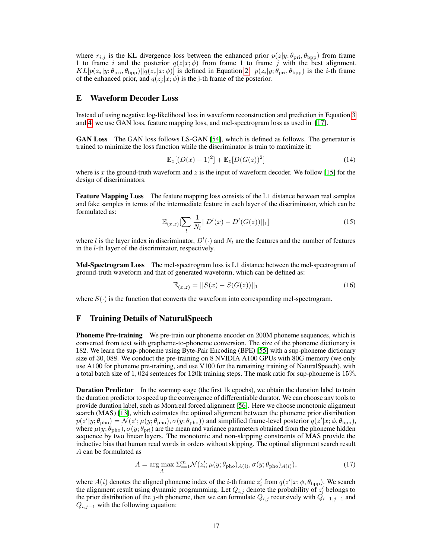where  $r_{i,j}$  is the KL divergence loss between the enhanced prior  $p(z|y; \theta_{\text{pri}}, \theta_{\text{bpp}})$  from frame 1 to frame i and the posterior  $q(z|x; \phi)$  from frame 1 to frame j with the best alignment.  $KL[p(z_*|y; \theta_{\text{pri}}, \theta_{\text{bpp}})||q(z_*|x; \phi)]$  is defined in Equation [2.](#page-5-2)  $p(z_i|y; \theta_{\text{pri}}, \theta_{\text{bpp}})$  is the *i*-th frame of the enhanced prior, and  $q(z_i | x; \phi)$  is the j-th frame of the posterior.

## <span id="page-16-0"></span>E Waveform Decoder Loss

Instead of using negative log-likelihood loss in waveform reconstruction and prediction in Equation [3](#page-5-3) and [4,](#page-5-4) we use GAN loss, feature mapping loss, and mel-spectrogram loss as used in [\[17\]](#page-11-0).

GAN Loss The GAN loss follows LS-GAN [\[54\]](#page-13-5), which is defined as follows. The generator is trained to minimize the loss function while the discriminator is train to maximize it:

$$
\mathbb{E}_x[(D(x)-1)^2] + \mathbb{E}_z[D(G(z))^2]
$$
\n(14)

where is x the ground-truth waveform and z is the input of waveform decoder. We follow [\[15\]](#page-10-13) for the design of discriminators.

Feature Mapping Loss The feature mapping loss consists of the L1 distance between real samples and fake samples in terms of the intermediate feature in each layer of the discriminator, which can be formulated as:

$$
\mathbb{E}_{(x,z)}[\sum_{l} \frac{1}{N_l} ||D^l(x) - D^l(G(z))||_1]
$$
\n(15)

where l is the layer index in discriminator,  $D^l(\cdot)$  and  $N_l$  are the features and the number of features in the l-th layer of the discriminator, respectively.

Mel-Spectrogram Loss The mel-spectrogram loss is L1 distance between the mel-spectrogram of ground-truth waveform and that of generated waveform, which can be defined as:

$$
\mathbb{E}_{(x,z)} = ||S(x) - S(G(z))||_1 \tag{16}
$$

where  $S(\cdot)$  is the function that converts the waveform into corresponding mel-spectrogram.

## <span id="page-16-1"></span>F Training Details of NaturalSpeech

Phoneme Pre-training We pre-train our phoneme encoder on 200M phoneme sequences, which is converted from text with grapheme-to-phoneme conversion. The size of the phoneme dictionary is 182. We learn the sup-phoneme using Byte-Pair Encoding (BPE) [\[55\]](#page-13-6) with a sup-phoneme dictionary size of 30, 088. We conduct the pre-training on 8 NVIDIA A100 GPUs with 80G memory (we only use A100 for phoneme pre-training, and use V100 for the remaining training of NaturalSpeech), with a total batch size of 1, 024 sentences for 120k training steps. The mask ratio for sup-phoneme is 15%.

**Duration Predictor** In the warmup stage (the first 1k epochs), we obtain the duration label to train the duration predictor to speed up the convergence of differentiable durator. We can choose any tools to provide duration label, such as Montreal forced alignment [\[56\]](#page-13-7). Here we choose monotonic alignment search (MAS) [\[13\]](#page-10-11), which estimates the optimal alignment between the phoneme prior distribution  $p(z'|y; \theta_{\text{pho}}) = \mathcal{N}(z'; \mu(y; \theta_{\text{pho}}), \sigma(y; \theta_{\text{pho}}))$  and simplified frame-level posterior  $q(z'|x; \phi, \theta_{\text{bpp}})$ , where  $\mu(y; \theta_{\text{pho}}), \sigma(y; \theta_{\text{pri}})$  are the mean and variance parameters obtained from the phoneme hidden sequence by two linear layers. The monotonic and non-skipping constraints of MAS provide the inductive bias that human read words in orders without skipping. The optimal alignment search result A can be formulated as

$$
A = \underset{A}{\arg\max} \ \Sigma_{i=1}^m \mathcal{N}(z_i'; \mu(y; \theta_{\text{pho}})_{A(i)}, \sigma(y; \theta_{\text{pho}})_{A(i)}), \tag{17}
$$

where  $A(i)$  denotes the aligned phoneme index of the *i*-th frame  $z_i$  from  $q(z'|x; \phi, \theta_{\text{bpp}})$ . We search the alignment result using dynamic programming. Let  $Q_{i,j}$  denote the probability of  $z_i$  belongs to the prior distribution of the j-th phoneme, then we can formulate  $Q_{i,j}$  recursively with  $Q_{i-1,j-1}$  and  $Q_{i,j-1}$  with the following equation: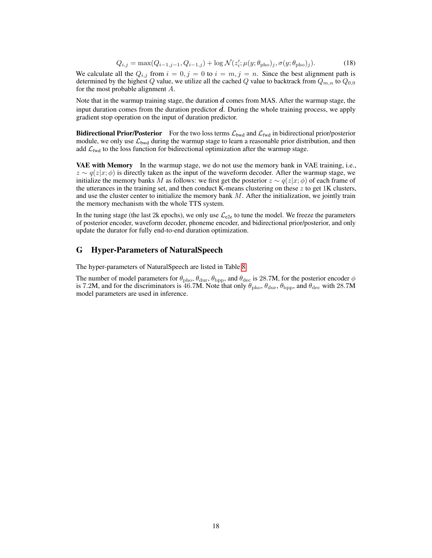$$
Q_{i,j} = \max(Q_{i-1,j-1}, Q_{i-1,j}) + \log \mathcal{N}(z_i'; \mu(y; \theta_{\text{pho}})_j, \sigma(y; \theta_{\text{pho}})_j). \tag{18}
$$

We calculate all the  $Q_{i,j}$  from  $i = 0, j = 0$  to  $i = m, j = n$ . Since the best alignment path is determined by the highest Q value, we utilize all the cached Q value to backtrack from  $Q_{m,n}$  to  $Q_{0,0}$ for the most probable alignment A.

Note that in the warmup training stage, the duration d comes from MAS. After the warmup stage, the input duration comes from the duration predictor  $d$ . During the whole training process, we apply gradient stop operation on the input of duration predictor.

**Bidirectional Prior/Posterior** For the two loss terms  $\mathcal{L}_{bwd}$  and  $\mathcal{L}_{fwd}$  in bidirectional prior/posterior module, we only use  $\mathcal{L}_{bwd}$  during the warmup stage to learn a reasonable prior distribution, and then add  $\mathcal{L}_{fwd}$  to the loss function for bidirectional optimization after the warmup stage.

VAE with Memory In the warmup stage, we do not use the memory bank in VAE training, i.e.,  $z \sim q(z|x; \phi)$  is directly taken as the input of the waveform decoder. After the warmup stage, we initialize the memory banks M as follows: we first get the posterior  $z \sim q(z|x; \phi)$  of each frame of the utterances in the training set, and then conduct K-means clustering on these  $z$  to get 1K clusters, and use the cluster center to initialize the memory bank  $M$ . After the initialization, we jointly train the memory mechanism with the whole TTS system.

In the tuning stage (the last 2k epochs), we only use  $\mathcal{L}_{e2e}$  to tune the model. We freeze the parameters of posterior encoder, waveform decoder, phoneme encoder, and bidirectional prior/posterior, and only update the durator for fully end-to-end duration optimization.

## <span id="page-17-0"></span>G Hyper-Parameters of NaturalSpeech

The hyper-parameters of NaturalSpeech are listed in Table [8.](#page-18-0)

The number of model parameters for  $\theta_{pho}$ ,  $\theta_{dur}$ ,  $\theta_{bpp}$ , and  $\theta_{dec}$  is 28.7M, for the posterior encoder  $\phi$ is 7.2M, and for the discriminators is 46.7M. Note that only  $\theta_{\rm pho}$ ,  $\theta_{\rm dur}$ ,  $\theta_{\rm bpp}$ , and  $\theta_{\rm dec}$  with 28.7M model parameters are used in inference.